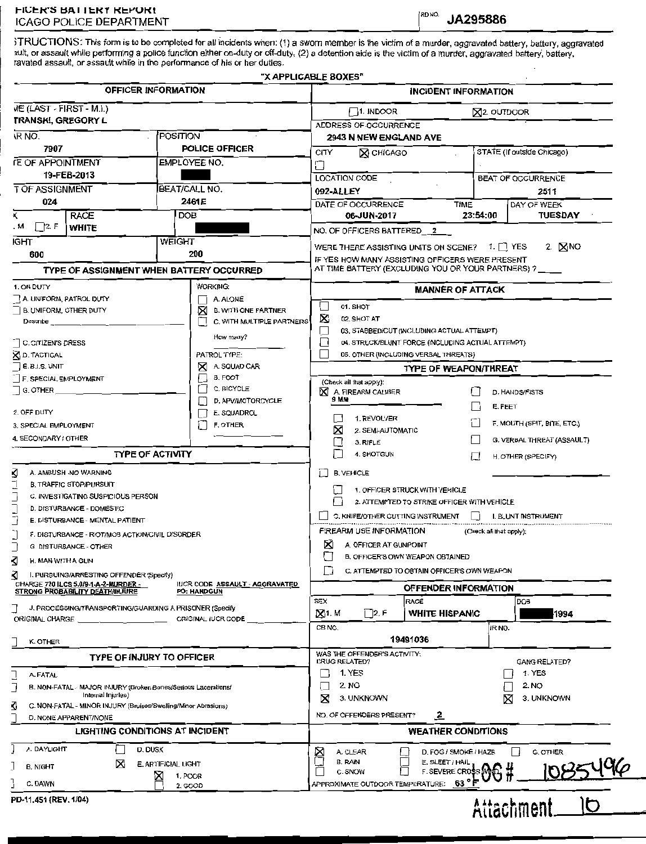3TRUCTIONS: This form is to be completed for all incidents when: (1) a sworn member is the victim of a murder, aggravated battery, battery, aggravated wit, or assault while performing a police function either on-duty or off-duty, (2) a detention aide is the victim of a murder, aggravated battery, battery, ravated assault, or assault while in the performance of his or her duties.

|                                                                                                                                |                                          |              | "X APPLICABLE BOXES"                |                                                         |                                                                                                       |                                                   |                    |                             |  |  |
|--------------------------------------------------------------------------------------------------------------------------------|------------------------------------------|--------------|-------------------------------------|---------------------------------------------------------|-------------------------------------------------------------------------------------------------------|---------------------------------------------------|--------------------|-----------------------------|--|--|
| OFFICER INFORMATION                                                                                                            |                                          |              |                                     |                                                         | <b>INCIDENT INFORMATION</b>                                                                           |                                                   |                    |                             |  |  |
| VIE (LAST - FIRST - M.I.)                                                                                                      |                                          |              |                                     |                                                         | $\Box$ 1. Indoor<br><b>X2. OUTDOOR</b>                                                                |                                                   |                    |                             |  |  |
| TRANSKI, GREGORY L                                                                                                             |                                          |              |                                     |                                                         | ADDRESS OF OCCURRENCE                                                                                 |                                                   |                    |                             |  |  |
| <b>IR NO.</b><br>POSITION                                                                                                      |                                          |              |                                     |                                                         | 2943 N NEW ENGLAND AVE                                                                                |                                                   |                    |                             |  |  |
| 7907                                                                                                                           |                                          |              | POLICE OFFICER                      | STATE (If outside Chicago)<br>CITY<br><b>X CHICAGO</b>  |                                                                                                       |                                                   |                    |                             |  |  |
| <b>IE OF APPOINTMENT</b>                                                                                                       |                                          | EMPLOYEE NO. |                                     |                                                         |                                                                                                       |                                                   |                    |                             |  |  |
| 19-FEB-2013                                                                                                                    |                                          |              | U                                   | <b>LOCATION CODE</b>                                    |                                                                                                       |                                                   | BEAT OF OCCURRENCE |                             |  |  |
| T OF ASSIGNMENT<br>BEAT/CALL NO.                                                                                               |                                          |              |                                     | 092-ALLEY<br>2511                                       |                                                                                                       |                                                   |                    |                             |  |  |
| 024                                                                                                                            |                                          | 2461E        |                                     | DATE OF OCCURRENCE                                      | <b>TIME</b>                                                                                           |                                                   | DAY OF WEEK        |                             |  |  |
|                                                                                                                                | <b>RACE</b>                              | DOB          |                                     |                                                         | 06-JUN-2017                                                                                           |                                                   | 23:54:00           | TUESDAY                     |  |  |
| $\Box$ 2. F<br>. м                                                                                                             | <b>WHITE</b>                             |              |                                     |                                                         | NO. OF OFFICERS BATTERED 2                                                                            |                                                   |                    |                             |  |  |
| IGHT<br>WEIGHT                                                                                                                 |                                          |              |                                     |                                                         |                                                                                                       |                                                   |                    |                             |  |  |
| 600                                                                                                                            |                                          |              | 200                                 | WERE THERE ASSISTING UNITS ON SCENE? 1. 1 YES<br>2. NNO |                                                                                                       |                                                   |                    |                             |  |  |
|                                                                                                                                | TYPE OF ASSIGNMENT WHEN BATTERY OCCURRED |              |                                     |                                                         | IF YES HOW MANY ASSISTING OFFICERS WERE PRESENT<br>AT TIME BATTERY (EXCLUDING YOU OR YOUR PARTNERS) ? |                                                   |                    |                             |  |  |
| 1. ON DUTY                                                                                                                     |                                          |              | WORKING:                            |                                                         |                                                                                                       |                                                   |                    |                             |  |  |
| A. UNIFORM, PATROL DUTY                                                                                                        |                                          |              | A. ALONE                            |                                                         | <b>MANNER OF ATTACK</b>                                                                               |                                                   |                    |                             |  |  |
| B. UNIFORM, OTHER DUTY                                                                                                         |                                          |              | ⊠<br><b>B. WITH ONE PARTNER</b>     |                                                         | 01. SHOT                                                                                              |                                                   |                    |                             |  |  |
| Describe <sub>__</sub>                                                                                                         |                                          |              | C. WITH MULTIPLE PARTNERS           | X                                                       | 02. SHOT AT                                                                                           |                                                   |                    |                             |  |  |
|                                                                                                                                |                                          |              | How many?                           |                                                         |                                                                                                       | 03. STABBED/CUT (INCLUDING ACTUAL ATTEMPT)        |                    |                             |  |  |
| C. CITIZEN'S DRESS                                                                                                             |                                          |              |                                     | ⊔                                                       |                                                                                                       | 04. STRUCK/BLUNT FORCE (INCLUDING ACTUAL ATTEMPT) |                    |                             |  |  |
| <b>X</b> D. TACTICAL                                                                                                           |                                          |              | PATROL TYPE:                        |                                                         |                                                                                                       | 05. OTHER (INCLUDING VERBAL THREATS)              |                    |                             |  |  |
| <b>E. B.I.S. UNIT</b><br>F. SPECIAL EMPLOYMENT                                                                                 |                                          |              | A. SQUAD CAR<br>⋈<br><b>B. FOOT</b> |                                                         |                                                                                                       | <b>TYPE OF WEAPON/THREAT</b>                      |                    |                             |  |  |
| G. OTHER                                                                                                                       |                                          |              | C. BICYCLE                          | X                                                       | (Check all that apply):<br>A. FIREARM CALIBER                                                         |                                                   |                    |                             |  |  |
|                                                                                                                                |                                          |              | D. APV/MOTORCYCLE                   |                                                         | 9 M.W                                                                                                 |                                                   |                    | D. HANDS/FISTS              |  |  |
| 2. OFF DUTY                                                                                                                    |                                          |              | E. SQUADROL                         |                                                         |                                                                                                       |                                                   |                    | E. FEET                     |  |  |
| F. OTHER<br>3. SPECIAL EMPLOYMENT                                                                                              |                                          |              |                                     |                                                         | 1. REVOLVER                                                                                           |                                                   |                    | F. MOUTH (SPIT, BITE, ETC.) |  |  |
| 4. SECONDARY / OTHER                                                                                                           |                                          |              |                                     |                                                         | ×<br>2. SEMI-AUTOMATIC<br>3. RIFLE                                                                    |                                                   |                    | G. VERBAL THREAT (ASSAULT)  |  |  |
|                                                                                                                                | <b>TYPE OF ACTIVITY</b>                  |              |                                     |                                                         | 4. SHOTGUN                                                                                            |                                                   | $\cdot$ 1          |                             |  |  |
|                                                                                                                                |                                          |              |                                     | $\Box$                                                  |                                                                                                       |                                                   |                    | H. OTHER (SPECIFY)          |  |  |
| ₫<br>A. AMBUSH -NO WARNING                                                                                                     |                                          |              |                                     |                                                         | <b>B. VEHICLE</b>                                                                                     |                                                   |                    |                             |  |  |
| <b>B. TRAFFIC STOP/PURSUIT</b>                                                                                                 |                                          |              |                                     |                                                         | 1. OFFICER STRUCK WITH VEHICLE                                                                        |                                                   |                    |                             |  |  |
| C. INVESTIGATING SUSPICIOUS PERSON                                                                                             |                                          |              |                                     |                                                         | 2. ATTEMPTED TO STRIKE OFFICER WITH VEHICLE                                                           |                                                   |                    |                             |  |  |
| D. DISTURBANCE - DOMESTIC<br>E. DISTURBANCE - MENTAL PATIENT                                                                   |                                          |              |                                     |                                                         | C. KNIFE/OTHER CUTTING INSTRUMENT<br>$\perp$<br>I. BLUNT INSTRUMENT                                   |                                                   |                    |                             |  |  |
|                                                                                                                                |                                          |              |                                     | FIREARM USE INFORMATION<br>(Check all that apply);      |                                                                                                       |                                                   |                    |                             |  |  |
| F. DISTURBANCE - RIOT/MOB ACTION/CIVIL DISORDER<br>G DISTURBANCE - OTHER                                                       |                                          |              |                                     |                                                         | ⋈<br>A. OFFICER AT GUNPOINT                                                                           |                                                   |                    |                             |  |  |
|                                                                                                                                |                                          |              |                                     |                                                         | B. OFFICER'S OWN WEAPON OBTAINED                                                                      |                                                   |                    |                             |  |  |
| Ω<br>H. MAN WITH A GUN                                                                                                         |                                          |              |                                     |                                                         | C. ATTEMPTED TO OBTAIN OFFICER'S OWN WEAPON                                                           |                                                   |                    |                             |  |  |
| ∢<br>I. PURSUING/ARRESTING OFFENDER (Specify)<br>CHARGE 720 ILCS 5.0/9-1-A-2-MURDER -<br><b>IUCR CODE ASSAULT - AGGRAVATED</b> |                                          |              |                                     |                                                         |                                                                                                       |                                                   |                    |                             |  |  |
| STRONG PROBABILITY DEATH/INJURE<br><b>PO: HANDGUN</b>                                                                          |                                          |              |                                     |                                                         | OFFENDER INFORMATION<br><b>SEX</b><br>RACE<br>DOB                                                     |                                                   |                    |                             |  |  |
| J. PROCESSING/TRANSPORTING/GUARDING A PRISONER (Specify<br>ORIGINAL IUCR CODE<br>ORIGINAL CHARGE                               |                                          |              |                                     |                                                         | ⊠1. M<br>$\Box$ 2. F                                                                                  | WHITE HISPANIC                                    |                    | 1994                        |  |  |
|                                                                                                                                |                                          |              |                                     |                                                         | CB NO.                                                                                                |                                                   | IR NO.             |                             |  |  |
| K. OTHER                                                                                                                       |                                          |              |                                     |                                                         |                                                                                                       | 19491036                                          |                    |                             |  |  |
| <b>TYPE OF INJURY TO OFFICER</b>                                                                                               |                                          |              |                                     |                                                         | WAS THE OFFENDER'S ACTIVITY:                                                                          |                                                   |                    |                             |  |  |
|                                                                                                                                |                                          |              |                                     |                                                         | DRUG RELATED?                                                                                         |                                                   |                    | <b>GANG RELATED?</b>        |  |  |
| A. FATAL                                                                                                                       |                                          |              |                                     |                                                         | 1. YES                                                                                                |                                                   |                    | 1. YES                      |  |  |
| B. NON-FATAL - MAJOR INJURY (Broken Bones/Serious Lacerations/<br>Internal Injuries)                                           |                                          |              |                                     |                                                         | 2. NO                                                                                                 |                                                   |                    | 2. NO                       |  |  |
| ₫<br>C. NON-FATAL - MINOR INJURY (Bruises/Swelling/Minor Abrasions)                                                            |                                          |              |                                     |                                                         | 3. UNKNOWN                                                                                            |                                                   |                    | X<br>3. UNKNOWN             |  |  |
| D. NONE APPARENT/NONE                                                                                                          |                                          |              |                                     |                                                         | NO. OF OFFENDERS PRESENT?                                                                             | $\overline{z}$                                    |                    |                             |  |  |
| <b>LIGHTING CONDITIONS AT INCIDENT</b>                                                                                         |                                          |              |                                     |                                                         | <b>WEATHER CONDITIONS</b>                                                                             |                                                   |                    |                             |  |  |
| A. DAYLIGHT<br>D. DUSK                                                                                                         |                                          |              |                                     |                                                         | A. CLEAR                                                                                              | D. FOG / SMOKE / HAZE                             |                    | G. OTHER                    |  |  |
| ⊠<br><b>E. ARTIFICIAL LIGHT</b>                                                                                                |                                          |              |                                     |                                                         | B. RAIN                                                                                               | E. SLEET / HAII                                   |                    |                             |  |  |
| B. NIGHT<br>×<br>1, POOR                                                                                                       |                                          |              |                                     |                                                         | C. SNOW                                                                                               | F. SEVERE CR                                      |                    |                             |  |  |
| C. DAWN<br>2. GOOD                                                                                                             |                                          |              |                                     |                                                         | APPROXIMATE OUTDOOR TEMPERATURE:                                                                      | 63°                                               |                    |                             |  |  |
| PD-11.451 (REV. 1/04)                                                                                                          |                                          |              |                                     |                                                         |                                                                                                       |                                                   |                    | Ìb.                         |  |  |
|                                                                                                                                |                                          |              |                                     |                                                         |                                                                                                       |                                                   |                    | Attachment.                 |  |  |